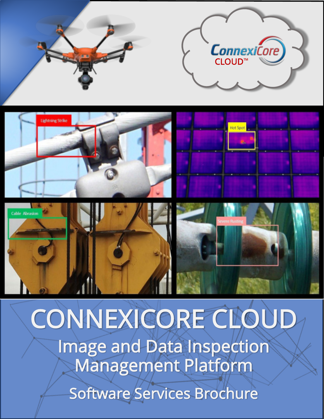

# CONNEXICORE CLOUD

Image and Data Inspection Management Platform

Software Services Brochure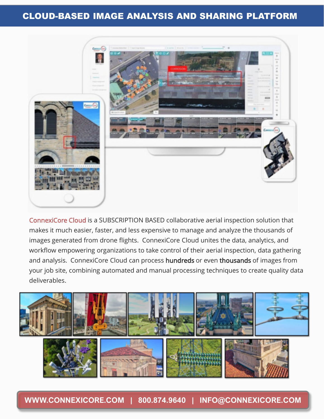## CLOUD-BASED IMAGE ANALYSIS AND SHARING PLATFORM



ConnexiCore Cloud is a SUBSCRIPTION BASED collaborative aerial inspection solution that makes it much easier, faster, and less expensive to manage and analyze the thousands of images generated from drone flights. ConnexiCore Cloud unites the data, analytics, and workflow empowering organizations to take control of their aerial inspection, data gathering and analysis. ConnexiCore Cloud can process hundreds or even thousands of images from your job site, combining automated and manual processing techniques to create quality data deliverables.



**WWW.CONNEXICORE.COM | 800.874.9640 | INFO@CONNEXICORE.COM**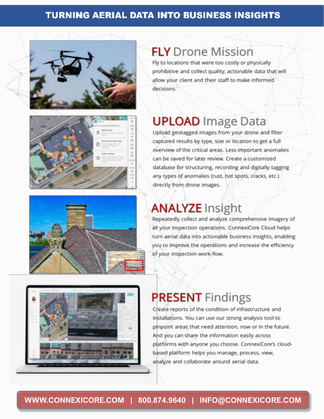## **TURNING AERIAL DATA INTO BUSINESS INSIGHTS**







## **FLY** Drone Mission

Fly to locations that were too costly or physically prohibitive and collect quality, actionable data that will allow your client and their staff to make informed decisions.

## **UPLOAD** Image Data

Upload geotagged images from your drone and filter captured results by type, size or location to get a full overview of the critical areas. Less important anomalies can be saved for later review. Create a customized database for structuring, recording and digitally tagging any types of anomalies (rust, hot spots, cracks, etc.) directly from drone images.

## **ANALYZE Insight**

Repeatedly collect and analyze comprehensive imagery of all your inspection operations. ConnexiCore Cloud helps turn aerial data into actionable business insights, enabling you to improve the operations and increase the efficiency of your inspection work-flow.



## **PRESENT** Findings

Create reports of the condition of infrastructure and installations. You can use our strong analysis tool to pinpoint areas that need attention, now or in the future. And you can share the information easily across platforms with anyone you choose. ConnexiCore's cloudbased platform helps you manage, process, view, analyze and collaborate around aerial data.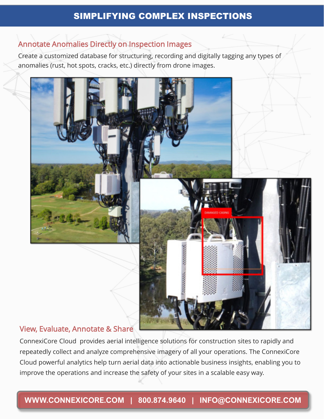### SIMPLIFYING COMPLEX INSPECTIONS

#### Annotate Anomalies Directly on Inspection Images

Create a customized database for structuring, recording and digitally tagging any types of anomalies (rust, hot spots, cracks, etc.) directly from drone images.



#### View, Evaluate, Annotate & Share

ConnexiCore Cloud provides aerial intelligence solutions for construction sites to rapidly and repeatedly collect and analyze comprehensive imagery of all your operations. The ConnexiCore Cloud powerful analytics help turn aerial data into actionable business insights, enabling you to improve the operations and increase the safety of your sites in a scalable easy way.